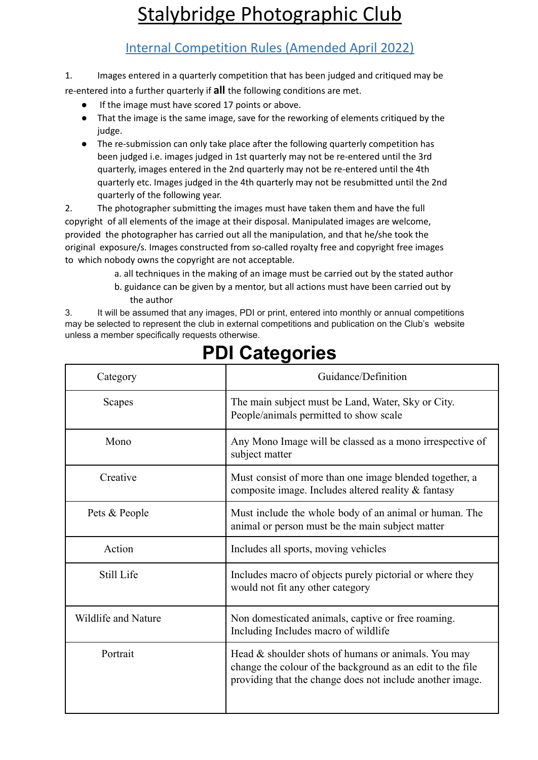# Stalybridge Photographic Club

### Internal Competition Rules (Amended April 2022)

1. Images entered in a quarterly competition that has been judged and critiqued may be re-entered into a further quarterly if **all** the following conditions are met.

- If the image must have scored 17 points or above.
- That the image is the same image, save for the reworking of elements critiqued by the judge.
- The re-submission can only take place after the following quarterly competition has been judged i.e. images judged in 1st quarterly may not be re-entered until the 3rd quarterly, images entered in the 2nd quarterly may not be re-entered until the 4th quarterly etc. Images judged in the 4th quarterly may not be resubmitted until the 2nd quarterly of the following year.

2. The photographer submitting the images must have taken them and have the full copyright of all elements of the image at their disposal. Manipulated images are welcome, provided the photographer has carried out all the manipulation, and that he/she took the original exposure/s. Images constructed from so-called royalty free and copyright free images to which nobody owns the copyright are not acceptable.

- a. all techniques in the making of an image must be carried out by the stated author
- b. guidance can be given by a mentor, but all actions must have been carried out by the author

3. It will be assumed that any images, PDI or print, entered into monthly or annual competitions may be selected to represent the club in external competitions and publication on the Club's website unless a member specifically requests otherwise.

| Category            | Guidance/Definition                                                                                                                                                            |
|---------------------|--------------------------------------------------------------------------------------------------------------------------------------------------------------------------------|
| Scapes              | The main subject must be Land, Water, Sky or City.<br>People/animals permitted to show scale                                                                                   |
| Mono                | Any Mono Image will be classed as a mono irrespective of<br>subject matter                                                                                                     |
| Creative            | Must consist of more than one image blended together, a<br>composite image. Includes altered reality & fantasy                                                                 |
| Pets & People       | Must include the whole body of an animal or human. The<br>animal or person must be the main subject matter                                                                     |
| Action              | Includes all sports, moving vehicles                                                                                                                                           |
| Still Life          | Includes macro of objects purely pictorial or where they<br>would not fit any other category                                                                                   |
| Wildlife and Nature | Non domesticated animals, captive or free roaming.<br>Including Includes macro of wildlife                                                                                     |
| Portrait            | Head & shoulder shots of humans or animals. You may<br>change the colour of the background as an edit to the file<br>providing that the change does not include another image. |

# **PDI Categories**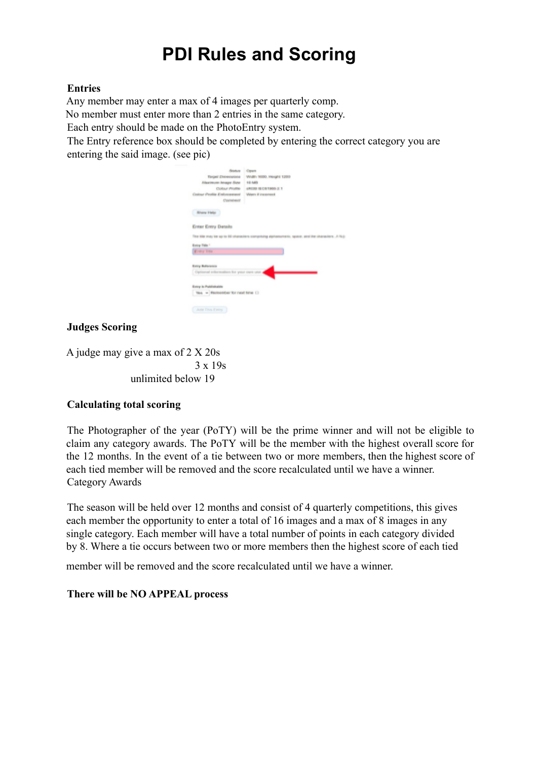### **PDI Rules and Scoring**

#### **Entries**

Any member may enter a max of 4 images per quarterly comp.

No member must enter more than 2 entries in the same category.

Each entry should be made on the PhotoEntry system.

The Entry reference box should be completed by entering the correct category you are entering the said image. (see pic)

| <b>Status Coun</b>                                      |                                    |
|---------------------------------------------------------|------------------------------------|
| Torget' Disneylargete                                   | WABIY 1655, Height 1259            |
| Alaximom lavage Size                                    | 12,545                             |
|                                                         | Colour Profile 4RX39 IB CB1900-2.1 |
| Cestrae Profile Enforcement                             | Waen if incomest                   |
| <b>Convenient</b>                                       |                                    |
| <b>Binery Help:</b>                                     |                                    |
| Erner Entry Details                                     |                                    |
| This bile may be sp to 66 characters comprising alphans |                                    |
| Entry Fide 1                                            |                                    |
| <b>Kinky Title</b>                                      |                                    |
|                                                         |                                    |
| Europ Baltimores                                        |                                    |
| Optional information for your own unit.                 |                                    |
|                                                         |                                    |
| Entry in Publishabile                                   |                                    |
| ties = Remember for next time (1)                       |                                    |
|                                                         |                                    |
| <b>June Tives Farmy</b>                                 |                                    |

#### **Judges Scoring**

A judge may give a max of 2 X 20s 3 x 19s unlimited below 19

#### **Calculating total scoring**

The Photographer of the year (PoTY) will be the prime winner and will not be eligible to claim any category awards. The PoTY will be the member with the highest overall score for the 12 months. In the event of a tie between two or more members, then the highest score of each tied member will be removed and the score recalculated until we have a winner. Category Awards

The season will be held over 12 months and consist of 4 quarterly competitions, this gives each member the opportunity to enter a total of 16 images and a max of 8 images in any single category. Each member will have a total number of points in each category divided by 8. Where a tie occurs between two or more members then the highest score of each tied

member will be removed and the score recalculated until we have a winner.

#### **There will be NO APPEAL process**